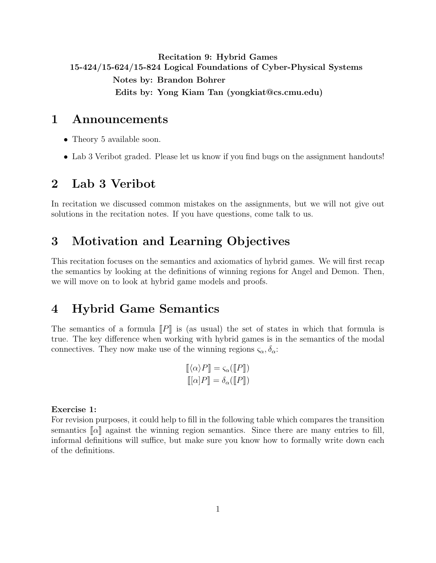# <span id="page-0-0"></span>Recitation 9: Hybrid Games 15-424/15-624/15-824 Logical Foundations of Cyber-Physical Systems Notes by: Brandon Bohrer Edits by: Yong Kiam Tan (yongkiat@cs.cmu.edu)

## 1 Announcements

- Theory 5 available soon.
- Lab 3 Veribot graded. Please let us know if you find bugs on the assignment handouts!

# 2 Lab 3 Veribot

In recitation we discussed common mistakes on the assignments, but we will not give out solutions in the recitation notes. If you have questions, come talk to us.

# 3 Motivation and Learning Objectives

This recitation focuses on the semantics and axiomatics of hybrid games. We will first recap the semantics by looking at the definitions of winning regions for Angel and Demon. Then, we will move on to look at hybrid game models and proofs.

# 4 Hybrid Game Semantics

The semantics of a formula  $\llbracket P \rrbracket$  is (as usual) the set of states in which that formula is true. The key difference when working with hybrid games is in the semantics of the modal connectives. They now make use of the winning regions  $\zeta_{\alpha}, \delta_{\alpha}$ :

$$
\begin{aligned} [\![\langle \alpha \rangle P]\!] &= \varsigma_{\alpha}([\![P]\!]) \\ [\![\alpha]P]\!] &= \delta_{\alpha}([\![P]\!]) \end{aligned}
$$

### Exercise 1:

For revision purposes, it could help to fill in the following table which compares the transition semantics  $\lceil \alpha \rceil$  against the winning region semantics. Since there are many entries to fill, informal definitions will suffice, but make sure you know how to formally write down each of the definitions.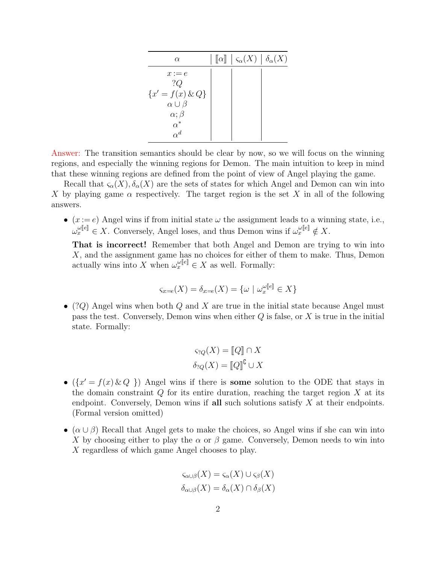| $\alpha$                                  | $\llbracket \alpha \rrbracket \mid \varsigma_\alpha(X) \mid \delta_\alpha(X)$ |  |
|-------------------------------------------|-------------------------------------------------------------------------------|--|
| $x := e$                                  |                                                                               |  |
| ?Q                                        |                                                                               |  |
| ${x' = f(x) \& Q}$<br>$\alpha \cup \beta$ |                                                                               |  |
| $\alpha$ ; $\beta$                        |                                                                               |  |
| $\alpha^*$                                |                                                                               |  |
| $\alpha^d$                                |                                                                               |  |

Answer: The transition semantics should be clear by now, so we will focus on the winning regions, and especially the winning regions for Demon. The main intuition to keep in mind that these winning regions are defined from the point of view of Angel playing the game.

Recall that  $\varsigma_{\alpha}(X), \delta_{\alpha}(X)$  are the sets of states for which Angel and Demon can win into X by playing game  $\alpha$  respectively. The target region is the set X in all of the following answers.

•  $(x := e)$  Angel wins if from initial state  $\omega$  the assignment leads to a winning state, i.e.,  $\omega_x^{\omega[\![e]\!]} \in X$ . Conversely, Angel loses, and thus Demon wins if  $\omega_x^{\omega[\![e]\!]} \notin X$ .

That is incorrect! Remember that both Angel and Demon are trying to win into X, and the assignment game has no choices for either of them to make. Thus, Demon actually wins into X when  $\omega_x^{\omega[\![e]\!]} \in X$  as well. Formally:

$$
\varsigma_{x=e}(X) = \delta_{x=e}(X) = \{\omega \mid \omega_x^{\omega[[e]]} \in X\}
$$

• (?Q) Angel wins when both Q and X are true in the initial state because Angel must pass the test. Conversely, Demon wins when either  $Q$  is false, or  $X$  is true in the initial state. Formally:

$$
\varsigma_{?Q}(X) = [Q] \cap X
$$

$$
\delta_{?Q}(X) = [Q] \cup X
$$

- $({x' = f(x) \& Q})$  Angel wins if there is some solution to the ODE that stays in the domain constraint  $Q$  for its entire duration, reaching the target region  $X$  at its endpoint. Conversely, Demon wins if all such solutions satisfy  $X$  at their endpoints. (Formal version omitted)
- $(\alpha \cup \beta)$  Recall that Angel gets to make the choices, so Angel wins if she can win into X by choosing either to play the  $\alpha$  or  $\beta$  game. Conversely, Demon needs to win into X regardless of which game Angel chooses to play.

$$
\varsigma_{\alpha\cup\beta}(X) = \varsigma_{\alpha}(X) \cup \varsigma_{\beta}(X)
$$

$$
\delta_{\alpha\cup\beta}(X) = \delta_{\alpha}(X) \cap \delta_{\beta}(X)
$$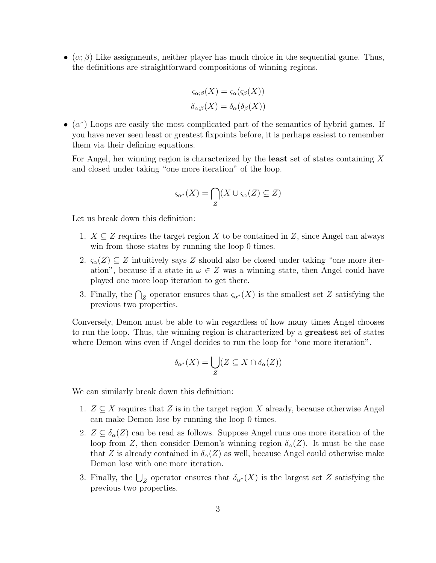• ( $\alpha$ ;  $\beta$ ) Like assignments, neither player has much choice in the sequential game. Thus, the definitions are straightforward compositions of winning regions.

$$
\varsigma_{\alpha;\beta}(X) = \varsigma_{\alpha}(\varsigma_{\beta}(X))
$$

$$
\delta_{\alpha;\beta}(X) = \delta_{\alpha}(\delta_{\beta}(X))
$$

•  $(\alpha^*)$  Loops are easily the most complicated part of the semantics of hybrid games. If you have never seen least or greatest fixpoints before, it is perhaps easiest to remember them via their defining equations.

For Angel, her winning region is characterized by the **least** set of states containing X and closed under taking "one more iteration" of the loop.

$$
\varsigma_{\alpha^*}(X) = \bigcap_{Z} (X \cup \varsigma_{\alpha}(Z) \subseteq Z)
$$

Let us break down this definition:

- 1.  $X \subseteq Z$  requires the target region X to be contained in Z, since Angel can always win from those states by running the loop 0 times.
- 2.  $\varsigma_{\alpha}(Z) \subseteq Z$  intuitively says Z should also be closed under taking "one more iteration", because if a state in  $\omega \in Z$  was a winning state, then Angel could have played one more loop iteration to get there.
- 3. Finally, the  $\bigcap_Z$  operator ensures that  $\varsigma_{\alpha^*}(X)$  is the smallest set Z satisfying the previous two properties.

Conversely, Demon must be able to win regardless of how many times Angel chooses to run the loop. Thus, the winning region is characterized by a greatest set of states where Demon wins even if Angel decides to run the loop for "one more iteration".

$$
\delta_{\alpha^*}(X) = \bigcup_{Z} (Z \subseteq X \cap \delta_{\alpha}(Z))
$$

We can similarly break down this definition:

- 1.  $Z \subseteq X$  requires that Z is in the target region X already, because otherwise Angel can make Demon lose by running the loop 0 times.
- 2.  $Z \subseteq \delta_{\alpha}(Z)$  can be read as follows. Suppose Angel runs one more iteration of the loop from Z, then consider Demon's winning region  $\delta_{\alpha}(Z)$ . It must be the case that Z is already contained in  $\delta_{\alpha}(Z)$  as well, because Angel could otherwise make Demon lose with one more iteration.
- 3. Finally, the  $\bigcup_{Z}$  operator ensures that  $\delta_{\alpha^*}(X)$  is the largest set Z satisfying the previous two properties.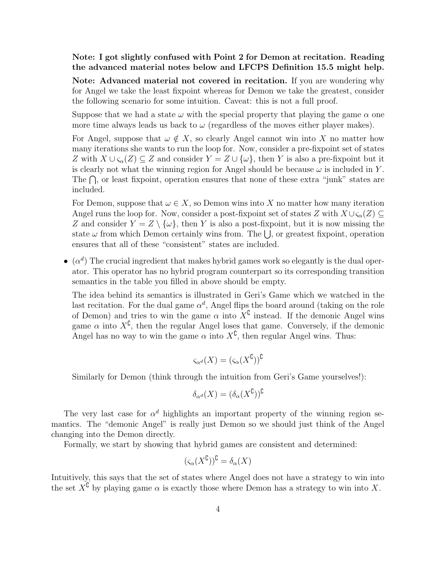## Note: I got slightly confused with Point 2 for Demon at recitation. Reading the advanced material notes below and LFCPS Definition 15.5 might help.

Note: Advanced material not covered in recitation. If you are wondering why for Angel we take the least fixpoint whereas for Demon we take the greatest, consider the following scenario for some intuition. Caveat: this is not a full proof.

Suppose that we had a state  $\omega$  with the special property that playing the game  $\alpha$  one more time always leads us back to  $\omega$  (regardless of the moves either player makes).

For Angel, suppose that  $\omega \notin X$ , so clearly Angel cannot win into X no matter how many iterations she wants to run the loop for. Now, consider a pre-fixpoint set of states Z with  $X \cup \varsigma_{\alpha}(Z) \subseteq Z$  and consider  $Y = Z \cup {\{\omega\}}$ , then Y is also a pre-fixpoint but it is clearly not what the winning region for Angel should be because  $\omega$  is included in Y. The  $\bigcap$ , or least fixpoint, operation ensures that none of these extra "junk" states are included.

For Demon, suppose that  $\omega \in X$ , so Demon wins into X no matter how many iteration Angel runs the loop for. Now, consider a post-fixpoint set of states Z with  $X \cup \varsigma_\alpha(Z) \subseteq$ Z and consider  $Y = Z \setminus \{\omega\}$ , then Y is also a post-fixpoint, but it is now missing the state  $\omega$  from which Demon certainly wins from. The  $\bigcup$ , or greatest fixpoint, operation ensures that all of these "consistent" states are included.

 $\bullet$  ( $\alpha^d$ ) The crucial ingredient that makes hybrid games work so elegantly is the dual operator. This operator has no hybrid program counterpart so its corresponding transition semantics in the table you filled in above should be empty.

The idea behind its semantics is illustrated in Geri's Game which we watched in the last recitation. For the dual game  $\alpha^d$ , Angel flips the board around (taking on the role of Demon) and tries to win the game  $\alpha$  into  $X^{\mathbb{C}}$  instead. If the demonic Angel wins game  $\alpha$  into  $X^{\complement}$ , then the regular Angel loses that game. Conversely, if the demonic Angel has no way to win the game  $\alpha$  into  $X^{\mathbb{C}}$ , then regular Angel wins. Thus:

$$
\varsigma_{\alpha^d}(X)=(\varsigma_{\alpha}(X^{\complement}))^{\complement}
$$

Similarly for Demon (think through the intuition from Geri's Game yourselves!):

$$
\delta_{\alpha^d}(X) = (\delta_{\alpha}(X^{\complement}))^{\complement}
$$

The very last case for  $\alpha^d$  highlights an important property of the winning region semantics. The "demonic Angel" is really just Demon so we should just think of the Angel changing into the Demon directly.

Formally, we start by showing that hybrid games are consistent and determined:

$$
(\varsigma_\alpha(X^\complement))^\complement=\delta_\alpha(X)
$$

Intuitively, this says that the set of states where Angel does not have a strategy to win into the set  $X^{\mathcal{C}}$  by playing game  $\alpha$  is exactly those where Demon has a strategy to win into X.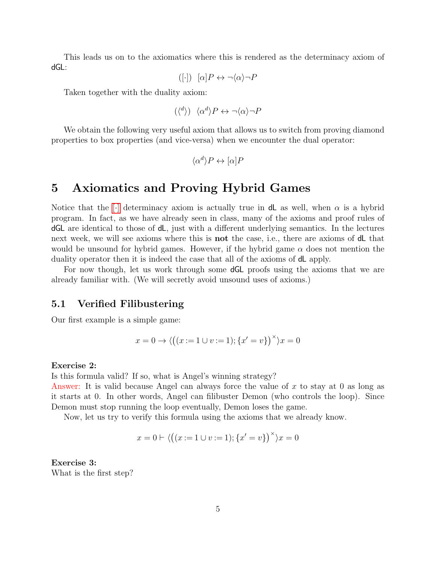This leads us on to the axiomatics where this is rendered as the determinacy axiom of dGL:

$$
([\cdot]) \quad [\alpha]P \leftrightarrow \neg \langle \alpha \rangle \neg P
$$

Taken together with the duality axiom:

$$
(\langle^d \rangle) \ \langle \alpha^d \rangle P \leftrightarrow \neg \langle \alpha \rangle \neg P
$$

We obtain the following very useful axiom that allows us to switch from proving diamond properties to box properties (and vice-versa) when we encounter the dual operator:

$$
\langle \alpha^d \rangle P \leftrightarrow [\alpha] P
$$

# 5 Axiomatics and Proving Hybrid Games

Notice that the [\[](#page-0-0)·] determinacy axiom is actually true in **dL** as well, when  $\alpha$  is a hybrid program. In fact, as we have already seen in class, many of the axioms and proof rules of dGL are identical to those of dL, just with a different underlying semantics. In the lectures next week, we will see axioms where this is **not** the case, i.e., there are axioms of **d**L that would be unsound for hybrid games. However, if the hybrid game  $\alpha$  does not mention the duality operator then it is indeed the case that all of the axioms of dL apply.

For now though, let us work through some dGL proofs using the axioms that we are already familiar with. (We will secretly avoid unsound uses of axioms.)

## 5.1 Verified Filibustering

Our first example is a simple game:

$$
x = 0 \rightarrow \langle ((x := 1 \cup v := 1); \{x' = v\})^{\times} \rangle x = 0
$$

#### Exercise 2:

Is this formula valid? If so, what is Angel's winning strategy?

Answer: It is valid because Angel can always force the value of  $x$  to stay at 0 as long as it starts at 0. In other words, Angel can filibuster Demon (who controls the loop). Since Demon must stop running the loop eventually, Demon loses the game.

Now, let us try to verify this formula using the axioms that we already know.

$$
x = 0 \vdash \langle ((x := 1 \cup v := 1); \{x' = v\})^{\times} \rangle x = 0
$$

Exercise 3: What is the first step?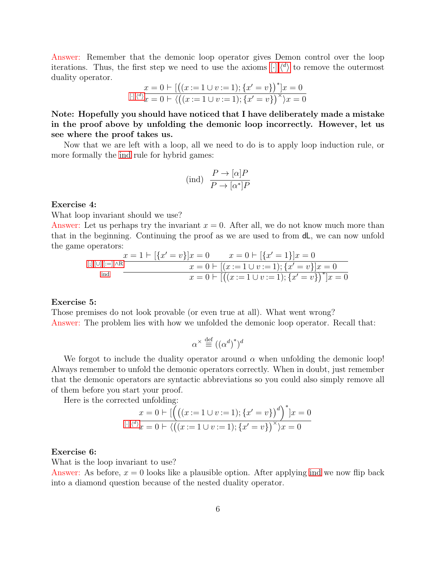Answer: Remember that the demonic loop operator gives Demon control over the loop iterations. T[h](#page-0-0)us, the first step we need to use the axioms  $[\cdot], \langle d \rangle$  $[\cdot], \langle d \rangle$  $[\cdot], \langle d \rangle$  to remove the outermost duality operator.

$$
x = 0 \vdash [((x := 1 \cup v := 1); \{x' = v\})^*]x = 0
$$
  
 
$$
[\cdot],\langle^d \rangle_x = 0 \vdash \langle ((x := 1 \cup v := 1); \{x' = v\})^* \rangle x = 0
$$

Note: Hopefully you should have noticed that I have deliberately made a mistake in the proof above by unfolding the demonic loop incorrectly. However, let us see where the proof takes us.

Now that we are left with a loop, all we need to do is to apply loop induction rule, or more formally the [ind](#page-5-0) rule for hybrid games:

<span id="page-5-0"></span>
$$
\text{(ind)}\ \ \frac{P \to [\alpha]P}{P \to [\alpha^*]P}
$$

### Exercise 4:

What loop invariant should we use?

Answer: Let us perhaps try the invariant  $x = 0$ . After all, we do not know much more than that in the beginning. Continuing the proof as we are used to from dL, we can now unfold the game operators:

$$
\begin{array}{c}\n\text{[;],[U],[:=],\land R} \quad x = 1 \vdash \left[ \{x' = v\} \right] x = 0 \qquad x = 0 \vdash \left[ \{x' = 1\} \right] x = 0 \\
x = 0 \vdash \left[ (x := 1 \cup v := 1); \{x' = v\} \right] x = 0 \\
x = 0 \vdash \left[ \left( (x := 1 \cup v := 1); \{x' = v\} \right)^* \right] x = 0\n\end{array}
$$

#### Exercise 5:

Those premises do not look provable (or even true at all). What went wrong? Answer: The problem lies with how we unfolded the demonic loop operator. Recall that:

$$
\alpha^{\times} \stackrel{\text{def}}{=} ((\alpha^d)^*)^d
$$

We forgot to include the duality operator around  $\alpha$  when unfolding the demonic loop! Always remember to unfold the demonic operators correctly. When in doubt, just remember that the demonic operators are syntactic abbreviations so you could also simply remove all of them before you start your proof.

Here is the corrected unfolding:

$$
x = 0 \vdash \left[ \left( \left( (x := 1 \cup v := 1); \{x' = v\} \right)^d \right)^* \right] x = 0
$$
  
[ \cdot],\langle<sup>d</sup> \rangle x = 0 \vdash \langle \left( (x := 1 \cup v := 1); \{x' = v\} \right)^{\times} \rangle x = 0

#### Exercise 6:

What is the loop invariant to use?

Answer: As before,  $x = 0$  looks like a plausible option. After applying [ind](#page-5-0) we now flip back into a diamond question because of the nested duality operator.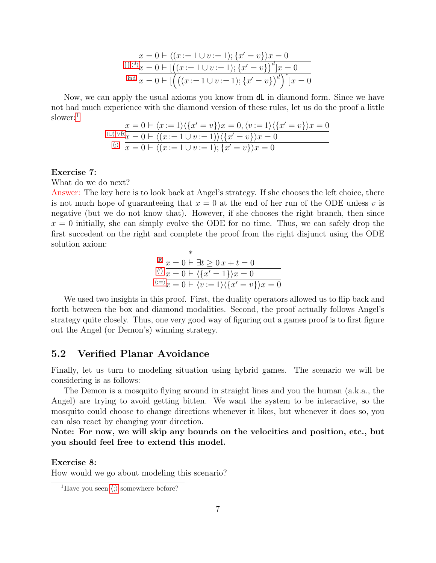$$
x = 0 \vdash \langle (x := 1 \cup v := 1); \{x' = v\} \rangle x = 0
$$
  
[[],<sup>d</sup>]  $x = 0 \vdash [((x := 1 \cup v := 1); \{x' = v\})^d]x = 0$   
ind  $x = 0 \vdash [((x := 1 \cup v := 1); \{x' = v\})^d]^{*} \rbrack x = 0$ 

Now, we can apply the usual axioms you know from dL in diamond form. Since we have not had much experience with the diamond version of these rules, let us do the proof a little slower:<sup>[1](#page-6-0)</sup>

$$
x = 0 \vdash \langle x := 1 \rangle \langle \{x' = v\} \rangle x = 0, \langle v := 1 \rangle \langle \{x' = v\} \rangle x = 0
$$
  

$$
\langle v \rangle \langle v \rangle \langle \langle x = 1 \cup v := 1 \rangle \langle \{x' = v\} \rangle x = 0
$$
  

$$
\langle v \rangle \langle x = 0 \rangle \langle x = 1 \cup v := 1 \rangle; \{x' = v\} \rangle x = 0
$$

### Exercise 7:

What do we do next?

Answer: The key here is to look back at Angel's strategy. If she chooses the left choice, there is not much hope of guaranteeing that  $x = 0$  at the end of her run of the ODE unless v is negative (but we do not know that). However, if she chooses the right branch, then since  $x = 0$  initially, she can simply evolve the ODE for no time. Thus, we can safely drop the first succedent on the right and complete the proof from the right disjunct using the ODE solution axiom:

$$
\begin{array}{c}\n\mathbb{R} \quad \frac{x}{x=0 \mid \exists t \geq 0 \, x+t=0} \\
\frac{\langle x \rangle}{x=0 \mid \langle \{x'=1\} \rangle x=0} \\
\frac{\langle x \rangle}{x=0 \mid \langle v:=1 \rangle \langle \{x'=v\} \rangle x=0}\n\end{array}
$$

We used two insights in this proof. First, the duality operators allowed us to flip back and forth between the box and diamond modalities. Second, the proof actually follows Angel's strategy quite closely. Thus, one very good way of figuring out a games proof is to first figure out the Angel (or Demon's) winning strategy.

## 5.2 Verified Planar Avoidance

Finally, let us turn to modeling situation using hybrid games. The scenario we will be considering is as follows:

The Demon is a mosquito flying around in straight lines and you the human (a.k.a., the Angel) are trying to avoid getting bitten. We want the system to be interactive, so the mosquito could choose to change directions whenever it likes, but whenever it does so, you can also react by changing your direction.

Note: For now, we will skip any bounds on the velocities and position, etc., but you should feel free to extend this model.

Exercise 8:

How would we go about modeling this scenario?

<span id="page-6-0"></span><sup>&</sup>lt;sup>1</sup>Have you seen  $\langle$ ; somew[h](#page-0-0)ere before?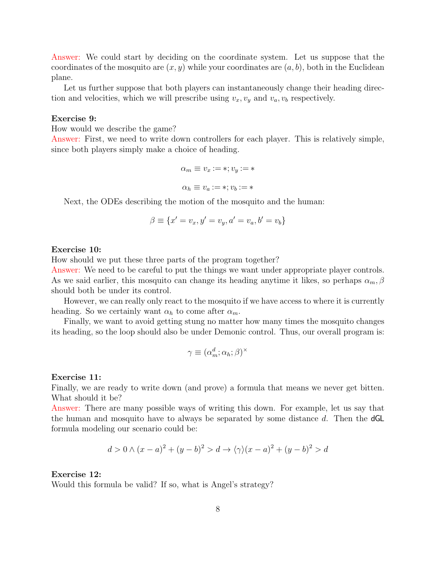Answer: We could start by deciding on the coordinate system. Let us suppose that the coordinates of the mosquito are  $(x, y)$  while your coordinates are  $(a, b)$ , both in the Euclidean plane.

Let us further suppose that both players can instantaneously change their heading direction and velocities, which we will prescribe using  $v_x, v_y$  and  $v_a, v_b$  respectively.

### Exercise 9:

How would we describe the game?

Answer: First, we need to write down controllers for each player. This is relatively simple, since both players simply make a choice of heading.

$$
\alpha_m \equiv v_x := *, v_y := *
$$
  

$$
\alpha_h \equiv v_a := *, v_b := *
$$

Next, the ODEs describing the motion of the mosquito and the human:

$$
\beta \equiv \{x' = v_x, y' = v_y, a' = v_a, b' = v_b\}
$$

### Exercise 10:

How should we put these three parts of the program together?

Answer: We need to be careful to put the things we want under appropriate player controls. As we said earlier, this mosquito can change its heading anytime it likes, so perhaps  $\alpha_m, \beta$ should both be under its control.

However, we can really only react to the mosquito if we have access to where it is currently heading. So we certainly want  $\alpha_h$  to come after  $\alpha_m$ .

Finally, we want to avoid getting stung no matter how many times the mosquito changes its heading, so the loop should also be under Demonic control. Thus, our overall program is:

$$
\gamma \equiv (\alpha_m^d; \alpha_h; \beta)^\times
$$

### Exercise 11:

Finally, we are ready to write down (and prove) a formula that means we never get bitten. What should it be?

Answer: There are many possible ways of writing this down. For example, let us say that the human and mosquito have to always be separated by some distance  $d$ . Then the  $dGL$ formula modeling our scenario could be:

$$
d > 0 \land (x - a)^2 + (y - b)^2 > d \rightarrow \langle \gamma \rangle (x - a)^2 + (y - b)^2 > d
$$

### Exercise 12:

Would this formula be valid? If so, what is Angel's strategy?